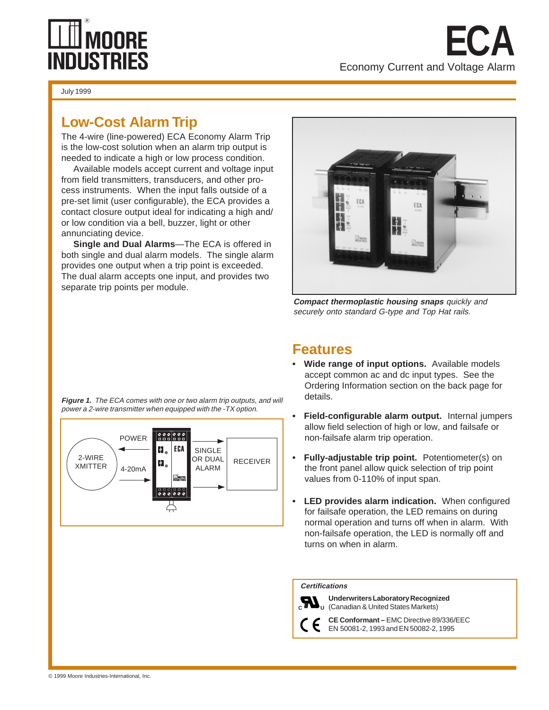# **LLUI MOORE<br>INDUSTRIES**

The 4-wire (line-powered) ECA Economy Alarm Trip is the low-cost solution when an alarm trip output is needed to indicate a high or low process condition.

Available models accept current and voltage input from field transmitters, transducers, and other process instruments. When the input falls outside of a pre-set limit (user configurable), the ECA provides a contact closure output ideal for indicating a high and/ or low condition via a bell, buzzer, light or other annunciating device.

**Single and Dual Alarms**—The ECA is offered in both single and dual alarm models. The single alarm provides one output when a trip point is exceeded. The dual alarm accepts one input, and provides two separate trip points per module.



Economy Current and Voltage Alarm

**ECA**

**Compact thermoplastic housing snaps** quickly and securely onto standard G-type and Top Hat rails.

**Figure 1.** The ECA comes with one or two alarm trip outputs, and will power a 2-wire transmitter when equipped with the -TX option.



## **Features**

- **Wide range of input options.** Available models accept common ac and dc input types. See the Ordering Information section on the back page for details.
- **Field-configurable alarm output.** Internal jumpers allow field selection of high or low, and failsafe or non-failsafe alarm trip operation.
- **Fully-adjustable trip point.** Potentiometer(s) on the front panel allow quick selection of trip point values from 0-110% of input span.
- **LED provides alarm indication.** When configured for failsafe operation, the LED remains on during normal operation and turns off when in alarm. With non-failsafe operation, the LED is normally off and turns on when in alarm.

#### **Certifications**



**Underwriters Laboratory Recognized** (Canadian & United States Markets) **C U**

**CE Conformant –** EMC Directive 89/336/EEC EN 50081-2, 1993 and EN 50082-2, 1995